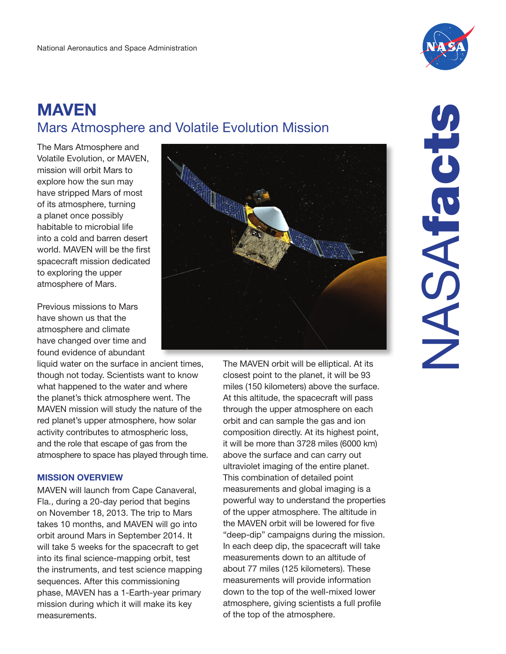

# **MAVEN Mars Atmosphere and Volatile Evolution Mission**

The Mars Atmosphere and Volatile Evolution, or MAVEN, mission will orbit Mars to explore how the sun may have stripped Mars of most of its atmosphere, turning a planet once possibly habitable to microbial life into a cold and barren desert world. MAVEN will be the first spacecraft mission dedicated to exploring the upper atmosphere of Mars.

Previous missions to Mars have shown us that the atmosphere and climate have changed over time and found evidence of abundant

liquid water on the surface in ancient times, though not today. Scientists want to know what happened to the water and where the planet's thick atmosphere went. The MAVEN mission will study the nature of the red planet's upper atmosphere, how solar activity contributes to atmospheric loss, and the role that escape of gas from the atmosphere to space has played through time.

## **MISSION OVERVIEW**

MAVEN will launch from Cape Canaveral, Fla., during a 20-day period that begins on November 18, 2013. The trip to Mars takes 10 months, and MAVEN will go into orbit around Mars in September 2014. It will take 5 weeks for the spacecraft to get into its final science-mapping orbit, test the instruments, and test science mapping sequences. After this commissioning phase, MAVEN has a 1-Earth-year primary mission during which it will make its key measurements.



The MAVEN orbit will be elliptical. At its closest point to the planet, it will be 93 miles (150 kilometers) above the surface. At this altitude, the spacecraft will pass through the upper atmosphere on each orbit and can sample the gas and ion composition directly. At its highest point, it will be more than 3728 miles (6000 km) above the surface and can carry out ultraviolet imaging of the entire planet. This combination of detailed point measurements and global imaging is a powerful way to understand the properties of the upper atmosphere. The altitude in the MAVEN orbit will be lowered for five "deep-dip" campaigns during the mission. In each deep dip, the spacecraft will take measurements down to an altitude of about 77 miles (125 kilometers). These measurements will provide information down to the top of the well-mixed lower atmosphere, giving scientists a full profile of the top of the atmosphere.